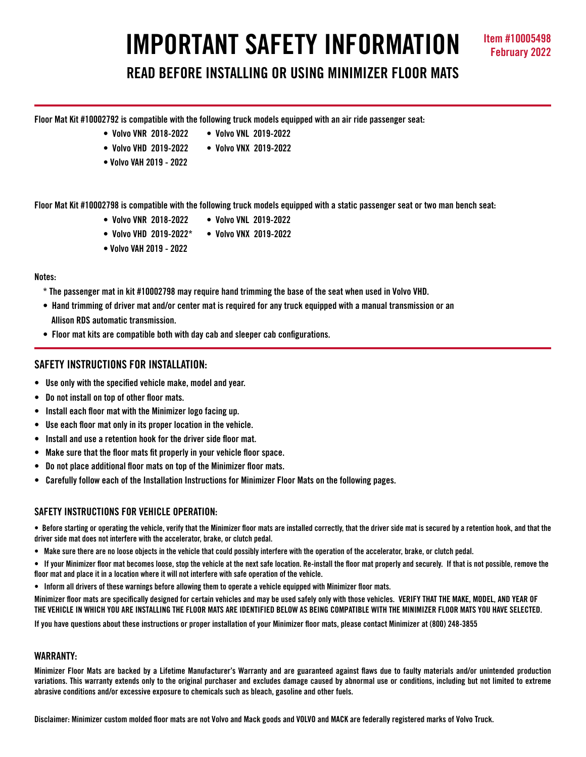# **IMPORTANT SAFETY INFORMATION Item #10005498**

# **READ BEFORE INSTALLING OR USING MINIMIZER FLOOR MATS**

**Floor Mat Kit #10002792 is compatible with the following truck models equipped with an air ride passenger seat:**

- **Volvo VNR 2018-2022 Volvo VNL 2019-2022**
	-
- **Volvo VHD 2019-2022 Volvo VNX 2019-2022**
- **Volvo VAH 2019 2022**

**Floor Mat Kit #10002798 is compatible with the following truck models equipped with a static passenger seat or two man bench seat:**

- **Volvo VNR 2018-2022 Volvo VNL 2019-2022**
- **Volvo VHD 2019-2022\* Volvo VNX 2019-2022**
- **Volvo VAH 2019 2022**

#### **Notes:**

- **\* The passenger mat in kit #10002798 may require hand trimming the base of the seat when used in Volvo VHD.**
- **Hand trimming of driver mat and/or center mat is required for any truck equipped with a manual transmission or an Allison RDS automatic transmission.**
- **Floor mat kits are compatible both with day cab and sleeper cab configurations.**

# **SAFETY INSTRUCTIONS FOR INSTALLATION:**

- **Use only with the specified vehicle make, model and year.**
- **Do not install on top of other floor mats.**
- **Install each floor mat with the Minimizer logo facing up.**
- **Use each floor mat only in its proper location in the vehicle.**
- **Install and use a retention hook for the driver side floor mat.**
- **Make sure that the floor mats fit properly in your vehicle floor space.**
- **Do not place additional floor mats on top of the Minimizer floor mats.**
- **Carefully follow each of the Installation Instructions for Minimizer Floor Mats on the following pages.**

## **SAFFTY INSTRUCTIONS FOR VEHICLE OPERATION:**

**• Before starting or operating the vehicle, verify that the Minimizer floor mats are installed correctly, that the driver side mat is secured by a retention hook, and that the driver side mat does not interfere with the accelerator, brake, or clutch pedal.**

- **Make sure there are no loose objects in the vehicle that could possibly interfere with the operation of the accelerator, brake, or clutch pedal.**
- **If your Minimizer floor mat becomes loose, stop the vehicle at the next safe location. Re-install the floor mat properly and securely. If that is not possible, remove the floor mat and place it in a location where it will not interfere with safe operation of the vehicle.**
- **Inform all drivers of these warnings before allowing them to operate a vehicle equipped with Minimizer floor mats.**

**Minimizer floor mats are specifically designed for certain vehicles and may be used safely only with those vehicles. VERIFY THAT THE MAKE, MODEL, AND YEAR OF THE VEHICLE IN WHICH YOU ARE INSTALLING THE FLOOR MATS ARE IDENTIFIED BELOW AS BEING COMPATIBLE WITH THE MINIMIZER FLOOR MATS YOU HAVE SELECTED.** 

**If you have questions about these instructions or proper installation of your Minimizer floor mats, please contact Minimizer at (800) 248-3855**

#### **WARRANTY:**

**Minimizer Floor Mats are backed by a Lifetime Manufacturer's Warranty and are guaranteed against flaws due to faulty materials and/or unintended production variations. This warranty extends only to the original purchaser and excludes damage caused by abnormal use or conditions, including but not limited to extreme abrasive conditions and/or excessive exposure to chemicals such as bleach, gasoline and other fuels.**

**Disclaimer: Minimizer custom molded floor mats are not Volvo and Mack goods and VOLVO and MACK are federally registered marks of Volvo Truck.**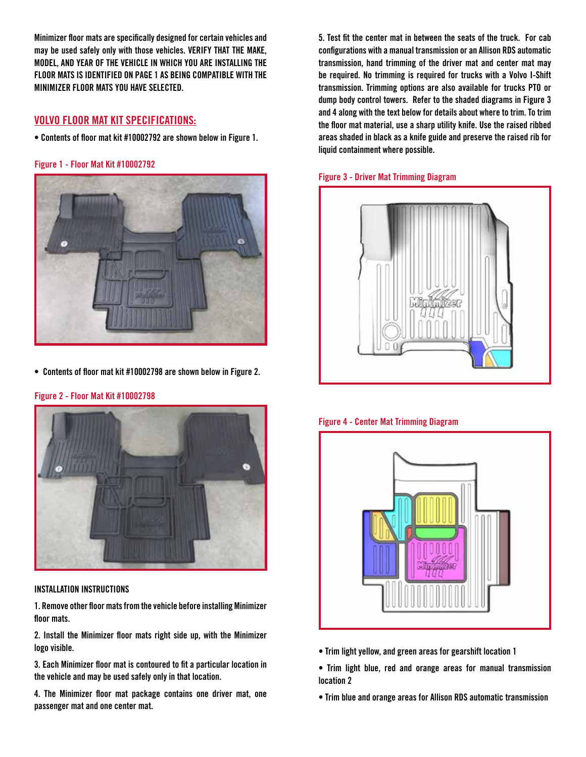**Minimizer floor mats are specifically designed for certain vehicles and may be used safely only with those vehicles. VERIFY THAT THE MAKE, MODEL, AND YEAR OF THE VEHICLE IN WHICH YOU ARE INSTALLING THE FLOOR MATS IS IDENTIFIED ON PAGE 1 AS BEING COMPATIBLE WITH THE MINIMIZER FLOOR MATS YOU HAVE SELECTED.** 

# **VOLVO FLOOR MAT KIT SPECIFICATIONS:**

**• Contents of floor mat kit #10002792 are shown below in Figure 1.** 

**Figure 1 - Floor Mat Kit #10002792**



**• Contents of floor mat kit #10002798 are shown below in Figure 2.**



#### **Figure 2 - Floor Mat Kit #10002798**

### **INSTALLATION INSTRUCTIONS**

**1. Remove other floor mats from the vehicle before installing Minimizer floor mats.**

**2. Install the Minimizer floor mats right side up, with the Minimizer logo visible.**

**3. Each Minimizer floor mat is contoured to fit a particular location in the vehicle and may be used safely only in that location.**

**4. The Minimizer floor mat package contains one driver mat, one passenger mat and one center mat.** 

**5. Test fit the center mat in between the seats of the truck. For cab configurations with a manual transmission or an Allison RDS automatic transmission, hand trimming of the driver mat and center mat may be required. No trimming is required for trucks with a Volvo I-Shift transmission. Trimming options are also available for trucks PTO or dump body control towers. Refer to the shaded diagrams in Figure 3 and 4 along with the text below for details about where to trim. To trim the floor mat material, use a sharp utility knife. Use the raised ribbed areas shaded in black as a knife guide and preserve the raised rib for liquid containment where possible.** 





**Figure 4 - Center Mat Trimming Diagram**



- **Trim light yellow, and green areas for gearshift location 1**
- **Trim light blue, red and orange areas for manual transmission location 2**
- **Trim blue and orange areas for Allison RDS automatic transmission**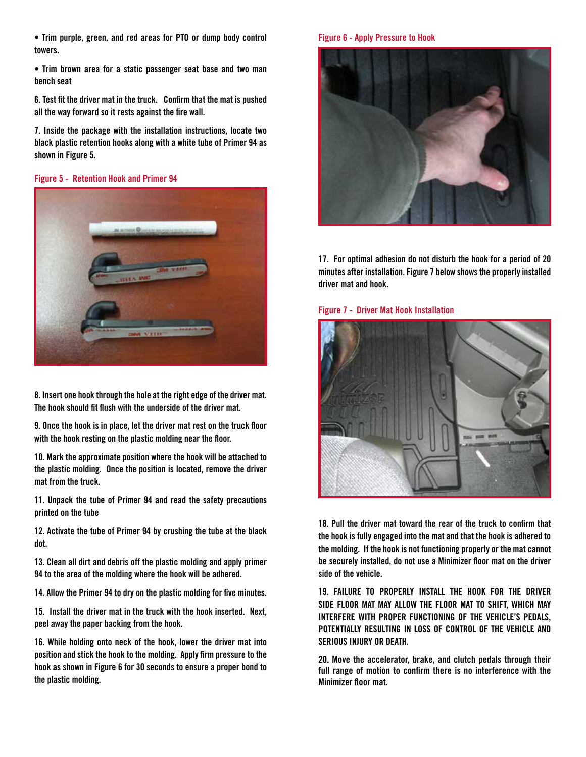**• Trim purple, green, and red areas for PTO or dump body control towers.**

**• Trim brown area for a static passenger seat base and two man bench seat**

**6. Test fit the driver mat in the truck. Confirm that the mat is pushed all the way forward so it rests against the fire wall.** 

**7. Inside the package with the installation instructions, locate two black plastic retention hooks along with a white tube of Primer 94 as shown in Figure 5.** 

#### **Figure 5 - Retention Hook and Primer 94**



**8. Insert one hook through the hole at the right edge of the driver mat. The hook should fit flush with the underside of the driver mat.** 

**9. Once the hook is in place, let the driver mat rest on the truck floor with the hook resting on the plastic molding near the floor.**

**10. Mark the approximate position where the hook will be attached to the plastic molding. Once the position is located, remove the driver mat from the truck.**

**11. Unpack the tube of Primer 94 and read the safety precautions printed on the tube**

**12. Activate the tube of Primer 94 by crushing the tube at the black dot.** 

**13. Clean all dirt and debris off the plastic molding and apply primer 94 to the area of the molding where the hook will be adhered.**

**14. Allow the Primer 94 to dry on the plastic molding for five minutes.** 

**15. Install the driver mat in the truck with the hook inserted. Next, peel away the paper backing from the hook.**

**16. While holding onto neck of the hook, lower the driver mat into position and stick the hook to the molding. Apply firm pressure to the hook as shown in Figure 6 for 30 seconds to ensure a proper bond to the plastic molding.**

#### **Figure 6 - Apply Pressure to Hook**



**17. For optimal adhesion do not disturb the hook for a period of 20 minutes after installation. Figure 7 below shows the properly installed driver mat and hook.**

#### **Figure 7 - Driver Mat Hook Installation**



**18. Pull the driver mat toward the rear of the truck to confirm that the hook is fully engaged into the mat and that the hook is adhered to the molding. If the hook is not functioning properly or the mat cannot be securely installed, do not use a Minimizer floor mat on the driver side of the vehicle.**

**19. FAILURE TO PROPERLY INSTALL THE HOOK FOR THE DRIVER SIDE FLOOR MAT MAY ALLOW THE FLOOR MAT TO SHIFT, WHICH MAY INTERFERE WITH PROPER FUNCTIONING OF THE VEHICLE'S PEDALS, POTENTIALLY RESULTING IN LOSS OF CONTROL OF THE VEHICLE AND SERIOUS INJURY OR DEATH.**

**20. Move the accelerator, brake, and clutch pedals through their full range of motion to confirm there is no interference with the Minimizer floor mat.**